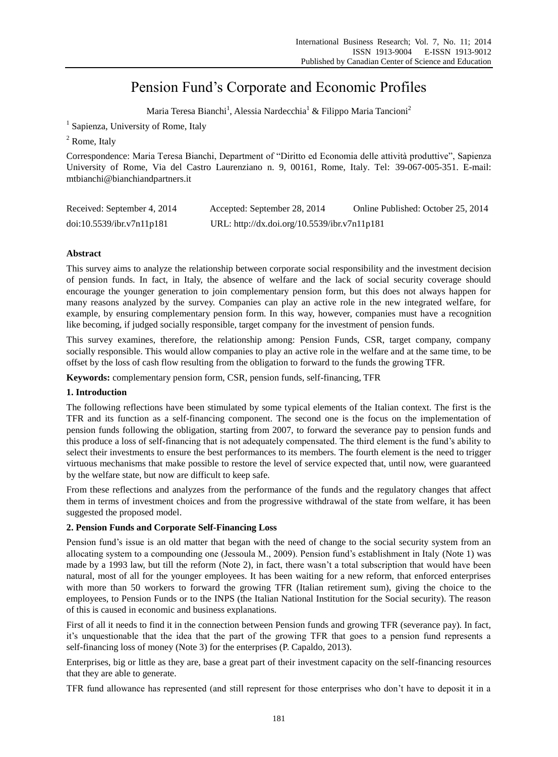# Pension Fund's Corporate and Economic Profiles

Maria Teresa Bianchi<sup>1</sup>, Alessia Nardecchia<sup>1</sup> & Filippo Maria Tancioni<sup>2</sup>

<sup>1</sup> Sapienza, University of Rome, Italy

<sup>2</sup> Rome, Italy

Correspondence: Maria Teresa Bianchi, Department of "Diritto ed Economia delle attività produttive", Sapienza University of Rome, Via del Castro Laurenziano n. 9, 00161, Rome, Italy. Tel: 39-067-005-351. E-mail: mtbianchi@bianchiandpartners.it

| Received: September 4, 2014 | Accepted: September 28, 2014                 | Online Published: October 25, 2014 |
|-----------------------------|----------------------------------------------|------------------------------------|
| doi:10.5539/ibr.v7n11p181   | URL: http://dx.doi.org/10.5539/ibr.v7n11p181 |                                    |

# **Abstract**

This survey aims to analyze the relationship between corporate social responsibility and the investment decision of pension funds. In fact, in Italy, the absence of welfare and the lack of social security coverage should encourage the younger generation to join complementary pension form, but this does not always happen for many reasons analyzed by the survey. Companies can play an active role in the new integrated welfare, for example, by ensuring complementary pension form. In this way, however, companies must have a recognition like becoming, if judged socially responsible, target company for the investment of pension funds.

This survey examines, therefore, the relationship among: Pension Funds, CSR, target company, company socially responsible. This would allow companies to play an active role in the welfare and at the same time, to be offset by the loss of cash flow resulting from the obligation to forward to the funds the growing TFR.

**Keywords:** complementary pension form, CSR, pension funds, self-financing, TFR

## **1. Introduction**

The following reflections have been stimulated by some typical elements of the Italian context. The first is the TFR and its function as a self-financing component. The second one is the focus on the implementation of pension funds following the obligation, starting from 2007, to forward the severance pay to pension funds and this produce a loss of self-financing that is not adequately compensated. The third element is the fund's ability to select their investments to ensure the best performances to its members. The fourth element is the need to trigger virtuous mechanisms that make possible to restore the level of service expected that, until now, were guaranteed by the welfare state, but now are difficult to keep safe.

From these reflections and analyzes from the performance of the funds and the regulatory changes that affect them in terms of investment choices and from the progressive withdrawal of the state from welfare, it has been suggested the proposed model.

# **2. Pension Funds and Corporate Self-Financing Loss**

Pension fund's issue is an old matter that began with the need of change to the social security system from an allocating system to a compounding one (Jessoula M., 2009). Pension fund's establishment in Italy (Note 1) was made by a 1993 law, but till the reform (Note 2), in fact, there wasn't a total subscription that would have been natural, most of all for the younger employees. It has been waiting for a new reform, that enforced enterprises with more than 50 workers to forward the growing TFR (Italian retirement sum), giving the choice to the employees, to Pension Funds or to the INPS (the Italian National Institution for the Social security). The reason of this is caused in economic and business explanations.

First of all it needs to find it in the connection between Pension funds and growing TFR (severance pay). In fact, it's unquestionable that the idea that the part of the growing TFR that goes to a pension fund represents a self-financing loss of money (Note 3) for the enterprises (P. Capaldo, 2013).

Enterprises, big or little as they are, base a great part of their investment capacity on the self-financing resources that they are able to generate.

TFR fund allowance has represented (and still represent for those enterprises who don't have to deposit it in a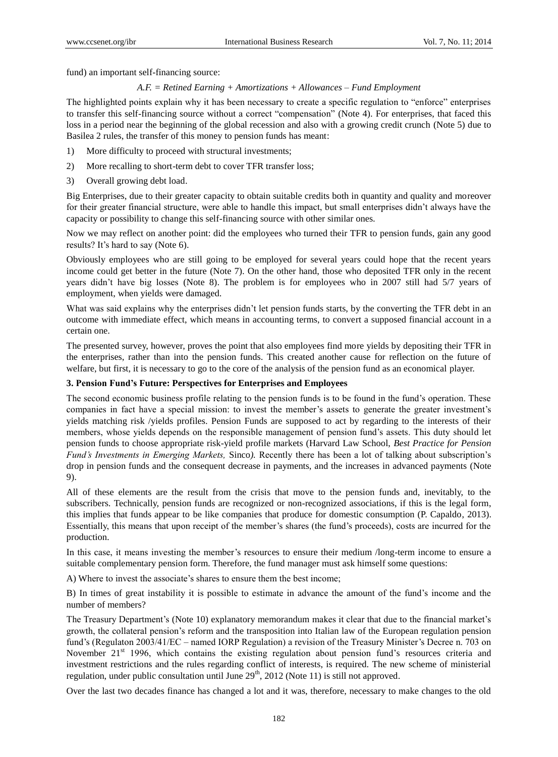fund) an important self-financing source:

#### *A.F. = Retined Earning + Amortizations + Allowances – Fund Employment*

The highlighted points explain why it has been necessary to create a specific regulation to "enforce" enterprises to transfer this self-financing source without a correct "compensation" (Note 4). For enterprises, that faced this loss in a period near the beginning of the global recession and also with a growing credit crunch (Note 5) due to Basilea 2 rules, the transfer of this money to pension funds has meant:

- 1) More difficulty to proceed with structural investments;
- 2) More recalling to short-term debt to cover TFR transfer loss;
- 3) Overall growing debt load.

Big Enterprises, due to their greater capacity to obtain suitable credits both in quantity and quality and moreover for their greater financial structure, were able to handle this impact, but small enterprises didn't always have the capacity or possibility to change this self-financing source with other similar ones.

Now we may reflect on another point: did the employees who turned their TFR to pension funds, gain any good results? It's hard to say (Note 6).

Obviously employees who are still going to be employed for several years could hope that the recent years income could get better in the future (Note 7). On the other hand, those who deposited TFR only in the recent years didn't have big losses (Note 8). The problem is for employees who in 2007 still had 5/7 years of employment, when yields were damaged.

What was said explains why the enterprises didn't let pension funds starts, by the converting the TFR debt in an outcome with immediate effect, which means in accounting terms, to convert a supposed financial account in a certain one.

The presented survey, however, proves the point that also employees find more yields by depositing their TFR in the enterprises, rather than into the pension funds. This created another cause for reflection on the future of welfare, but first, it is necessary to go to the core of the analysis of the pension fund as an economical player.

## **3. Pension Fund's Future: Perspectives for Enterprises and Employees**

The second economic business profile relating to the pension funds is to be found in the fund's operation. These companies in fact have a special mission: to invest the member's assets to generate the greater investment's yields matching risk /yields profiles. Pension Funds are supposed to act by regarding to the interests of their members, whose yields depends on the responsible management of pension fund's assets. This duty should let pension funds to choose appropriate risk-yield profile markets (Harvard Law School, *Best Practice for Pension Fund's Investments in Emerging Markets, Sinco).* Recently there has been a lot of talking about subscription's drop in pension funds and the consequent decrease in payments, and the increases in advanced payments (Note 9).

All of these elements are the result from the crisis that move to the pension funds and, inevitably, to the subscribers. Technically, pension funds are recognized or non-recognized associations, if this is the legal form, this implies that funds appear to be like companies that produce for domestic consumption (P. Capaldo, 2013). Essentially, this means that upon receipt of the member's shares (the fund's proceeds), costs are incurred for the production.

In this case, it means investing the member's resources to ensure their medium /long-term income to ensure a suitable complementary pension form. Therefore, the fund manager must ask himself some questions:

A) Where to invest the associate's shares to ensure them the best income;

B) In times of great instability it is possible to estimate in advance the amount of the fund's income and the number of members?

The Treasury Department's (Note 10) explanatory memorandum makes it clear that due to the financial market's growth, the collateral pension's reform and the transposition into Italian law of the European regulation pension fund's (Regulaton 2003/41/EC – named IORP Regulation) a revision of the Treasury Minister's Decree n. 703 on November 21<sup>st</sup> 1996, which contains the existing regulation about pension fund's resources criteria and investment restrictions and the rules regarding conflict of interests, is required. The new scheme of ministerial regulation, under public consultation until June 29<sup>th</sup>, 2012 (Note 11) is still not approved.

Over the last two decades finance has changed a lot and it was, therefore, necessary to make changes to the old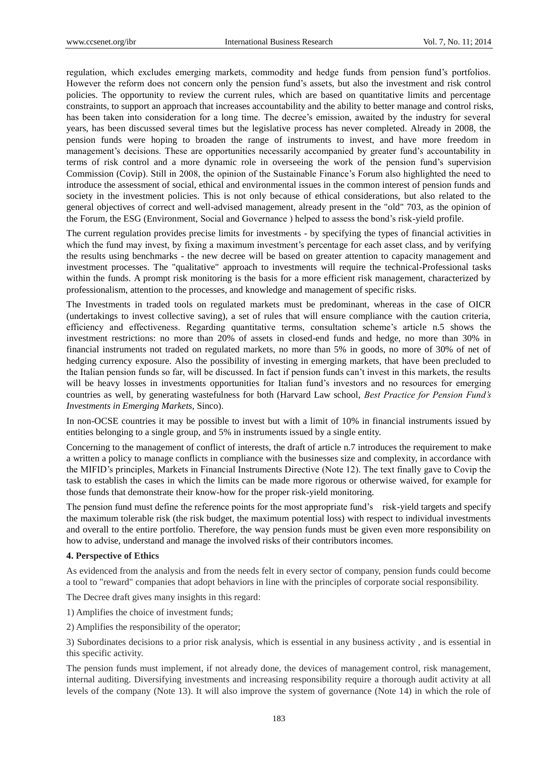regulation, which excludes emerging markets, commodity and hedge funds from pension fund's portfolios. However the reform does not concern only the pension fund's assets, but also the investment and risk control policies. The opportunity to review the current rules, which are based on quantitative limits and percentage constraints, to support an approach that increases accountability and the ability to better manage and control risks, has been taken into consideration for a long time. The decree's emission, awaited by the industry for several years, has been discussed several times but the legislative process has never completed. Already in 2008, the pension funds were hoping to broaden the range of instruments to invest, and have more freedom in management's decisions. These are opportunities necessarily accompanied by greater fund's accountability in terms of risk control and a more dynamic role in overseeing the work of the pension fund's supervision Commission (Covip). Still in 2008, the opinion of the Sustainable Finance's Forum also highlighted the need to introduce the assessment of social, ethical and environmental issues in the common interest of pension funds and society in the investment policies. This is not only because of ethical considerations, but also related to the general objectives of correct and well-advised management, already present in the "old" 703, as the opinion of the Forum, the ESG (Environment, Social and Governance ) helped to assess the bond's risk-yield profile.

The current regulation provides precise limits for investments - by specifying the types of financial activities in which the fund may invest, by fixing a maximum investment's percentage for each asset class, and by verifying the results using benchmarks - the new decree will be based on greater attention to capacity management and investment processes. The "qualitative" approach to investments will require the technical-Professional tasks within the funds. A prompt risk monitoring is the basis for a more efficient risk management, characterized by professionalism, attention to the processes, and knowledge and management of specific risks.

The Investments in traded tools on regulated markets must be predominant, whereas in the case of OICR (undertakings to invest collective saving), a set of rules that will ensure compliance with the caution criteria, efficiency and effectiveness. Regarding quantitative terms, consultation scheme's article n.5 shows the investment restrictions: no more than 20% of assets in closed-end funds and hedge, no more than 30% in financial instruments not traded on regulated markets, no more than 5% in goods, no more of 30% of net of hedging currency exposure. Also the possibility of investing in emerging markets, that have been precluded to the Italian pension funds so far, will be discussed. In fact if pension funds can't invest in this markets, the results will be heavy losses in investments opportunities for Italian fund's investors and no resources for emerging countries as well, by generating wastefulness for both (Harvard Law school, *Best Practice for Pension Fund's Investments in Emerging Markets,* Sinco).

In non-OCSE countries it may be possible to invest but with a limit of 10% in financial instruments issued by entities belonging to a single group, and 5% in instruments issued by a single entity.

Concerning to the management of conflict of interests, the draft of article n.7 introduces the requirement to make a written a policy to manage conflicts in compliance with the businesses size and complexity, in accordance with the MIFID's principles, Markets in Financial Instruments Directive (Note 12). The text finally gave to Covip the task to establish the cases in which the limits can be made more rigorous or otherwise waived, for example for those funds that demonstrate their know-how for the proper risk-yield monitoring.

The pension fund must define the reference points for the most appropriate fund's risk-yield targets and specify the maximum tolerable risk (the risk budget, the maximum potential loss) with respect to individual investments and overall to the entire portfolio. Therefore, the way pension funds must be given even more responsibility on how to advise, understand and manage the involved risks of their contributors incomes.

#### **4. Perspective of Ethics**

As evidenced from the analysis and from the needs felt in every sector of company, pension funds could become a tool to "reward" companies that adopt behaviors in line with the principles of corporate social responsibility.

The Decree draft gives many insights in this regard:

- 1) Amplifies the choice of investment funds;
- 2) Amplifies the responsibility of the operator;

3) Subordinates decisions to a prior risk analysis, which is essential in any business activity , and is essential in this specific activity.

The pension funds must implement, if not already done, the devices of management control, risk management, internal auditing. Diversifying investments and increasing responsibility require a thorough audit activity at all levels of the company (Note 13). It will also improve the system of governance (Note 14) in which the role of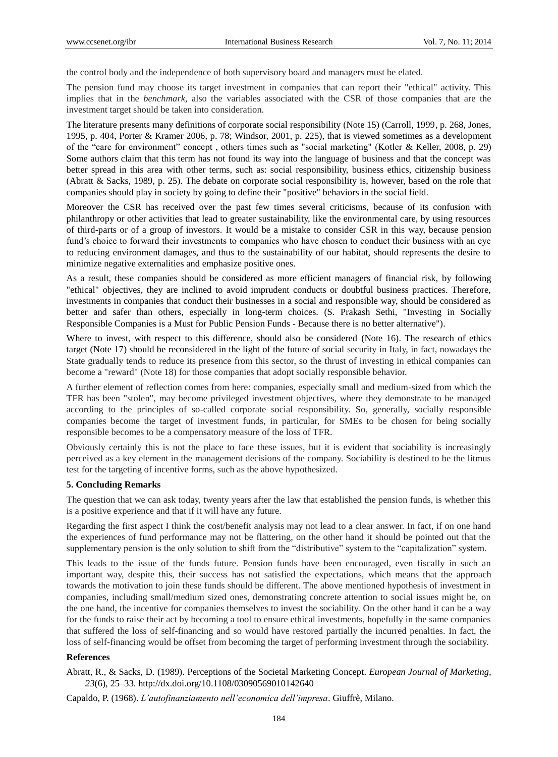the control body and the independence of both supervisory board and managers must be elated.

The pension fund may choose its target investment in companies that can report their "ethical" activity. This implies that in the *benchmark,* also the variables associated with the CSR of those companies that are the investment target should be taken into consideration.

The literature presents many definitions of corporate social responsibility (Note 15) (Carroll, 1999, p. 268, Jones, 1995, p. 404, Porter & Kramer 2006, p. 78; Windsor, 2001, p. 225), that is viewed sometimes as a development of the "care for environment" concept , others times such as "social marketing" (Kotler & Keller, 2008, p. 29) Some authors claim that this term has not found its way into the language of business and that the concept was better spread in this area with other terms, such as: social responsibility, business ethics, citizenship business (Abratt & Sacks, 1989, p. 25). The debate on corporate social responsibility is, however, based on the role that companies should play in society by going to define their "positive" behaviors in the social field.

Moreover the CSR has received over the past few times several criticisms, because of its confusion with philanthropy or other activities that lead to greater sustainability, like the environmental care, by using resources of third-parts or of a group of investors. It would be a mistake to consider CSR in this way, because pension fund's choice to forward their investments to companies who have chosen to conduct their business with an eye to reducing environment damages, and thus to the sustainability of our habitat, should represents the desire to minimize negative externalities and emphasize positive ones.

As a result, these companies should be considered as more efficient managers of financial risk, by following "ethical" objectives, they are inclined to avoid imprudent conducts or doubtful business practices. Therefore, investments in companies that conduct their businesses in a social and responsible way, should be considered as better and safer than others, especially in long-term choices. (S. Prakash Sethi, "Investing in Socially Responsible Companies is a Must for Public Pension Funds - Because there is no better alternative").

Where to invest, with respect to this difference, should also be considered (Note 16). The research of ethics target (Note 17) should be reconsidered in the light of the future of social security in Italy, in fact, nowadays the State gradually tends to reduce its presence from this sector, so the thrust of investing in ethical companies can become a "reward" (Note 18) for those companies that adopt socially responsible behavior.

A further element of reflection comes from here: companies, especially small and medium-sized from which the TFR has been "stolen", may become privileged investment objectives, where they demonstrate to be managed according to the principles of so-called corporate social responsibility. So, generally, socially responsible companies become the target of investment funds, in particular, for SMEs to be chosen for being socially responsible becomes to be a compensatory measure of the loss of TFR.

Obviously certainly this is not the place to face these issues, but it is evident that sociability is increasingly perceived as a key element in the management decisions of the company. Sociability is destined to be the litmus test for the targeting of incentive forms, such as the above hypothesized.

#### **5. Concluding Remarks**

The question that we can ask today, twenty years after the law that established the pension funds, is whether this is a positive experience and that if it will have any future.

Regarding the first aspect I think the cost/benefit analysis may not lead to a clear answer. In fact, if on one hand the experiences of fund performance may not be flattering, on the other hand it should be pointed out that the supplementary pension is the only solution to shift from the "distributive" system to the "capitalization" system.

This leads to the issue of the funds future. Pension funds have been encouraged, even fiscally in such an important way, despite this, their success has not satisfied the expectations, which means that the approach towards the motivation to join these funds should be different. The above mentioned hypothesis of investment in companies, including small/medium sized ones, demonstrating concrete attention to social issues might be, on the one hand, the incentive for companies themselves to invest the sociability. On the other hand it can be a way for the funds to raise their act by becoming a tool to ensure ethical investments, hopefully in the same companies that suffered the loss of self-financing and so would have restored partially the incurred penalties. In fact, the loss of self-financing would be offset from becoming the target of performing investment through the sociability.

#### **References**

Abratt, R., & Sacks, D. (1989). Perceptions of the Societal Marketing Concept. *European Journal of Marketing, 23*(6), 25–33[. http://dx.doi.org/10.1108/03090569010142640](http://dx.doi.org/10.1108/03090569010142640) 

Capaldo, P. (1968). *L'autofinanziamento nell'economica dell'impresa*. Giuffrè, Milano.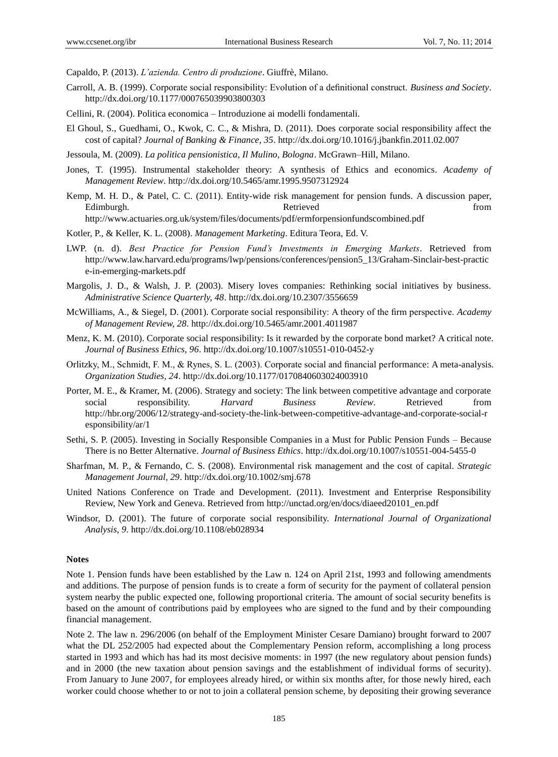Capaldo, P. (2013). *L'azienda. Centro di produzione*. Giuffrè, Milano.

- Carroll, A. B. (1999). Corporate social responsibility: Evolution of a definitional construct. *Business and Society*. <http://dx.doi.org/10.1177/000765039903800303>
- Cellini, R. (2004). Politica economica Introduzione ai modelli fondamentali.
- El Ghoul, S., Guedhami, O., Kwok, C. C., & Mishra, D. (2011). Does corporate social responsibility affect the cost of capital? *Journal of Banking & Finance, 35*[. http://dx.doi.org/10.1016/j.jbankfin.2011.02.007](http://dx.doi.org/10.1016/j.jbankfin.2011.02.007)
- Jessoula, M. (2009). *La politica pensionistica, Il Mulino, Bologna*. McGrawn–Hill, Milano.
- Jones, T. (1995). Instrumental stakeholder theory: A synthesis of Ethics and economics. *Academy of Management Review*[. http://dx.doi.org/10.5465/amr.1995.9507312924](http://dx.doi.org/10.5465/amr.1995.9507312924)
- Kemp, M. H. D., & Patel, C. C. (2011). Entity-wide risk management for pension funds. A discussion paper, Edimburgh. Retrieved from http://www.actuaries.org.uk/system/files/documents/pdf/ermforpensionfundscombined.pdf
- Kotler, P., & Keller, K. L. (2008). *Management Marketing*. Editura Teora, Ed. V.
- LWP. (n. d). *Best Practice for Pension Fund's Investments in Emerging Markets*. Retrieved from http://www.law.harvard.edu/programs/lwp/pensions/conferences/pension5\_13/Graham-Sinclair-best-practic e-in-emerging-markets.pdf
- Margolis, J. D., & Walsh, J. P. (2003). Misery loves companies: Rethinking social initiatives by business. *Administrative Science Quarterly, 48*.<http://dx.doi.org/10.2307/3556659>
- McWilliams, A., & Siegel, D. (2001). Corporate social responsibility: A theory of the firm perspective. *Academy of Management Review, 28*.<http://dx.doi.org/10.5465/amr.2001.4011987>
- Menz, K. M. (2010). Corporate social responsibility: Is it rewarded by the corporate bond market? A critical note. *Journal of Business Ethics, 96*.<http://dx.doi.org/10.1007/s10551-010-0452-y>
- Orlitzky, M., Schmidt, F. M., & Rynes, S. L. (2003). Corporate social and financial performance: A meta-analysis. *Organization Studies, 24*.<http://dx.doi.org/10.1177/0170840603024003910>
- Porter, M. E., & Kramer, M. (2006). Strategy and society: The link between competitive advantage and corporate social responsibility. *Harvard Business Review*. Retrieved from http://hbr.org/2006/12/strategy-and-society-the-link-between-competitive-advantage-and-corporate-social-r esponsibility/ar/1
- Sethi, S. P. (2005). Investing in Socially Responsible Companies in a Must for Public Pension Funds Because There is no Better Alternative. *Journal of Business Ethics*.<http://dx.doi.org/10.1007/s10551-004-5455-0>
- Sharfman, M. P., & Fernando, C. S. (2008). Environmental risk management and the cost of capital. *Strategic Management Journal, 29*[. http://dx.doi.org/10.1002/smj.678](http://dx.doi.org/10.1002/smj.678)
- United Nations Conference on Trade and Development. (2011). Investment and Enterprise Responsibility Review, New York and Geneva. Retrieved from http://unctad.org/en/docs/diaeed20101\_en.pdf
- Windsor, D. (2001). The future of corporate social responsibility. *International Journal of Organizational Analysis, 9*.<http://dx.doi.org/10.1108/eb028934>

## **Notes**

Note 1. Pension funds have been established by the Law n. 124 on April 21st, 1993 and following amendments and additions. The purpose of pension funds is to create a form of security for the payment of collateral pension system nearby the public expected one, following proportional criteria. The amount of social security benefits is based on the amount of contributions paid by employees who are signed to the fund and by their compounding financial management.

Note 2. The law n. 296/2006 (on behalf of the Employment Minister Cesare Damiano) brought forward to 2007 what the DL 252/2005 had expected about the Complementary Pension reform, accomplishing a long process started in 1993 and which has had its most decisive moments: in 1997 (the new regulatory about pension funds) and in 2000 (the new taxation about pension savings and the establishment of individual forms of security). From January to June 2007, for employees already hired, or within six months after, for those newly hired, each worker could choose whether to or not to join a collateral pension scheme, by depositing their growing severance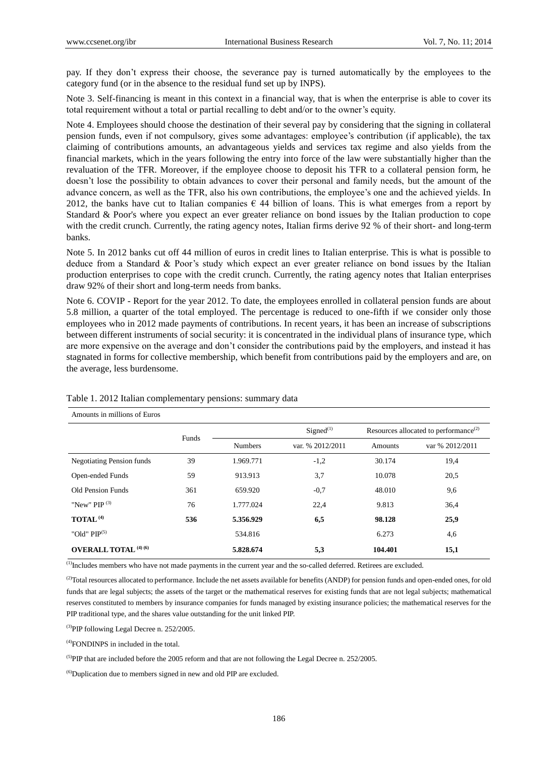pay. If they don't express their choose, the severance pay is turned automatically by the employees to the category fund (or in the absence to the residual fund set up by INPS).

Note 3. Self-financing is meant in this context in a financial way, that is when the enterprise is able to cover its total requirement without a total or partial recalling to debt and/or to the owner's equity.

Note 4. Employees should choose the destination of their several pay by considering that the signing in collateral pension funds, even if not compulsory, gives some advantages: employee's contribution (if applicable), the tax claiming of contributions amounts, an advantageous yields and services tax regime and also yields from the financial markets, which in the years following the entry into force of the law were substantially higher than the revaluation of the TFR. Moreover, if the employee choose to deposit his TFR to a collateral pension form, he doesn't lose the possibility to obtain advances to cover their personal and family needs, but the amount of the advance concern, as well as the TFR, also his own contributions, the employee's one and the achieved yields. In 2012, the banks have cut to Italian companies  $\epsilon$  44 billion of loans. This is what emerges from a report by Standard & Poor's where you expect an ever greater reliance on bond issues by the Italian production to cope with the credit crunch. Currently, the rating agency notes, Italian firms derive 92 % of their short- and long-term banks.

Note 5. In 2012 banks cut off 44 million of euros in credit lines to Italian enterprise. This is what is possible to deduce from a Standard & Poor's study which expect an ever greater reliance on bond issues by the Italian production enterprises to cope with the credit crunch. Currently, the rating agency notes that Italian enterprises draw 92% of their short and long-term needs from banks.

Note 6. COVIP - Report for the year 2012. To date, the employees enrolled in collateral pension funds are about 5.8 million, a quarter of the total employed. The percentage is reduced to one-fifth if we consider only those employees who in 2012 made payments of contributions. In recent years, it has been an increase of subscriptions between different instruments of social security: it is concentrated in the individual plans of insurance type, which are more expensive on the average and don't consider the contributions paid by the employers, and instead it has stagnated in forms for collective membership, which benefit from contributions paid by the employers and are, on the average, less burdensome.

| Amounts in millions of Euros            |       |                |                       |                                                   |                 |  |  |  |  |
|-----------------------------------------|-------|----------------|-----------------------|---------------------------------------------------|-----------------|--|--|--|--|
|                                         | Funds |                | Signed <sup>(1)</sup> | Resources allocated to performance <sup>(2)</sup> |                 |  |  |  |  |
|                                         |       | <b>Numbers</b> | var. % 2012/2011      | Amounts                                           | var % 2012/2011 |  |  |  |  |
| <b>Negotiating Pension funds</b>        | 39    | 1.969.771      | $-1,2$                | 30.174                                            | 19,4            |  |  |  |  |
| Open-ended Funds                        | 59    | 913.913        | 3,7                   | 10.078                                            | 20,5            |  |  |  |  |
| Old Pension Funds                       | 361   | 659.920        | $-0.7$                | 48.010                                            | 9,6             |  |  |  |  |
| "New" PIP $^{(3)}$                      | 76    | 1.777.024      | 22,4                  | 9.813                                             | 36,4            |  |  |  |  |
| TOTAL <sup>(4)</sup>                    | 536   | 5.356.929      | 6,5                   | 98.128                                            | 25,9            |  |  |  |  |
| "Old" $PIP^{(5)}$                       |       | 534.816        |                       | 6.273                                             | 4,6             |  |  |  |  |
| <b>OVERALL TOTAL</b> <sup>(4)</sup> (6) |       | 5.828.674      | 5,3                   | 104.401                                           | 15,1            |  |  |  |  |

Table 1. 2012 Italian complementary pensions: summary data

<sup>(1)</sup>Includes members who have not made payments in the current year and the so-called deferred. Retirees are excluded.

<sup>(2)</sup>Total resources allocated to performance. Include the net assets available for benefits (ANDP) for pension funds and open-ended ones, for old funds that are legal subjects; the assets of the target or the mathematical reserves for existing funds that are not legal subjects; mathematical reserves constituted to members by insurance companies for funds managed by existing insurance policies; the mathematical reserves for the PIP traditional type, and the shares value outstanding for the unit linked PIP.

<sup>(3)</sup>PIP following Legal Decree n. 252/2005.

(4)FONDINPS in included in the total.

(5)PIP that are included before the 2005 reform and that are not following the Legal Decree n. 252/2005.

 $^{(6)}$ Duplication due to members signed in new and old PIP are excluded.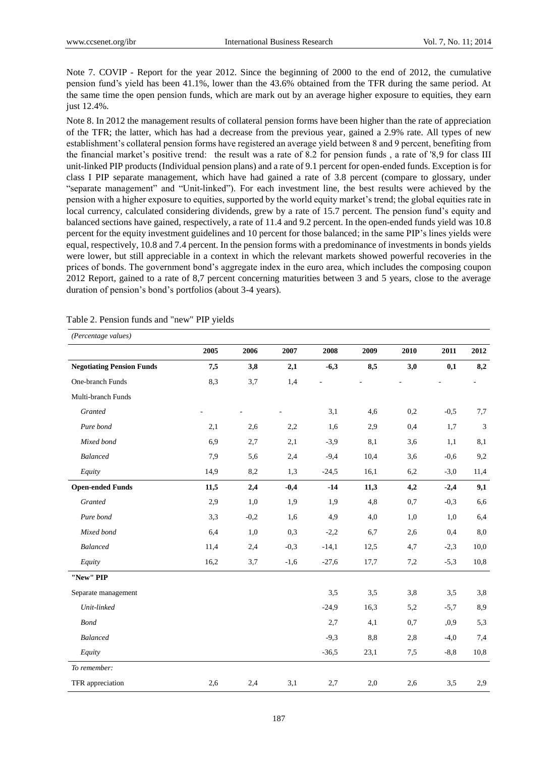Note 7. COVIP - Report for the year 2012. Since the beginning of 2000 to the end of 2012, the cumulative pension fund's yield has been 41.1%, lower than the 43.6% obtained from the TFR during the same period. At the same time the open pension funds, which are mark out by an average higher exposure to equities, they earn just 12.4%.

Note 8. In 2012 the management results of collateral pension forms have been higher than the rate of appreciation of the TFR; the latter, which has had a decrease from the previous year, gained a 2.9% rate. All types of new establishment's collateral pension forms have registered an average yield between 8 and 9 percent, benefiting from the financial market's positive trend: the result was a rate of 8.2 for pension funds , a rate of '8,9 for class III unit-linked PIP products (Individual pension plans) and a rate of 9.1 percent for open-ended funds. Exception is for class I PIP separate management, which have had gained a rate of 3.8 percent (compare to glossary, under "separate management" and "Unit-linked"). For each investment line, the best results were achieved by the pension with a higher exposure to equities, supported by the world equity market's trend; the global equities rate in local currency, calculated considering dividends, grew by a rate of 15.7 percent. The pension fund's equity and balanced sections have gained, respectively, a rate of 11.4 and 9.2 percent. In the open-ended funds yield was 10.8 percent for the equity investment guidelines and 10 percent for those balanced; in the same PIP's lines yields were equal, respectively, 10.8 and 7.4 percent. In the pension forms with a predominance of investments in bonds yields were lower, but still appreciable in a context in which the relevant markets showed powerful recoveries in the prices of bonds. The government bond's aggregate index in the euro area, which includes the composing coupon 2012 Report, gained to a rate of 8,7 percent concerning maturities between 3 and 5 years, close to the average duration of pension's bond's portfolios (about 3-4 years).

| (Percentage values)              |      |        |        |         |      |      |         |            |  |  |  |
|----------------------------------|------|--------|--------|---------|------|------|---------|------------|--|--|--|
|                                  | 2005 | 2006   | 2007   | 2008    | 2009 | 2010 | 2011    | 2012       |  |  |  |
| <b>Negotiating Pension Funds</b> | 7,5  | 3,8    | 2,1    | $-6,3$  | 8,5  | 3,0  | 0,1     | 8,2        |  |  |  |
| One-branch Funds                 | 8,3  | 3,7    | 1,4    |         |      |      |         |            |  |  |  |
| Multi-branch Funds               |      |        |        |         |      |      |         |            |  |  |  |
| Granted                          |      |        |        | 3,1     | 4,6  | 0,2  | $-0,5$  | 7,7        |  |  |  |
| Pure bond                        | 2,1  | 2,6    | 2,2    | 1,6     | 2,9  | 0,4  | 1,7     | $\sqrt{3}$ |  |  |  |
| Mixed bond                       | 6,9  | 2,7    | 2,1    | $-3,9$  | 8,1  | 3,6  | 1,1     | 8,1        |  |  |  |
| Balanced                         | 7,9  | 5,6    | 2,4    | $-9,4$  | 10,4 | 3,6  | $-0.6$  | 9,2        |  |  |  |
| Equity                           | 14,9 | 8,2    | 1,3    | $-24,5$ | 16,1 | 6,2  | $-3,0$  | 11,4       |  |  |  |
| <b>Open-ended Funds</b>          | 11,5 | 2,4    | $-0,4$ | $-14$   | 11,3 | 4,2  | $-2,4$  | 9,1        |  |  |  |
| Granted                          | 2,9  | 1,0    | 1,9    | 1,9     | 4,8  | 0,7  | $-0,3$  | 6,6        |  |  |  |
| Pure bond                        | 3,3  | $-0,2$ | 1,6    | 4,9     | 4,0  | 1,0  | 1,0     | 6,4        |  |  |  |
| Mixed bond                       | 6,4  | 1,0    | 0,3    | $-2,2$  | 6,7  | 2,6  | 0,4     | $8,\!0$    |  |  |  |
| Balanced                         | 11,4 | 2,4    | $-0,3$ | $-14,1$ | 12,5 | 4,7  | $-2,3$  | 10,0       |  |  |  |
| Equity                           | 16,2 | 3,7    | $-1,6$ | $-27,6$ | 17,7 | 7,2  | $-5,3$  | 10,8       |  |  |  |
| "New" PIP                        |      |        |        |         |      |      |         |            |  |  |  |
| Separate management              |      |        |        | 3,5     | 3,5  | 3,8  | 3,5     | $3,8$      |  |  |  |
| Unit-linked                      |      |        |        | $-24,9$ | 16,3 | 5,2  | $-5,7$  | 8,9        |  |  |  |
| <b>Bond</b>                      |      |        |        | 2,7     | 4,1  | 0,7  | ,0,9    | 5,3        |  |  |  |
| <b>Balanced</b>                  |      |        |        | $-9,3$  | 8,8  | 2,8  | $-4,0$  | 7,4        |  |  |  |
| Equity                           |      |        |        | $-36,5$ | 23,1 | 7,5  | $-8, 8$ | 10,8       |  |  |  |
| To remember:                     |      |        |        |         |      |      |         |            |  |  |  |
| TFR appreciation                 | 2,6  | 2,4    | 3,1    | 2,7     | 2,0  | 2,6  | 3,5     | 2,9        |  |  |  |

Table 2. Pension funds and "new" PIP yields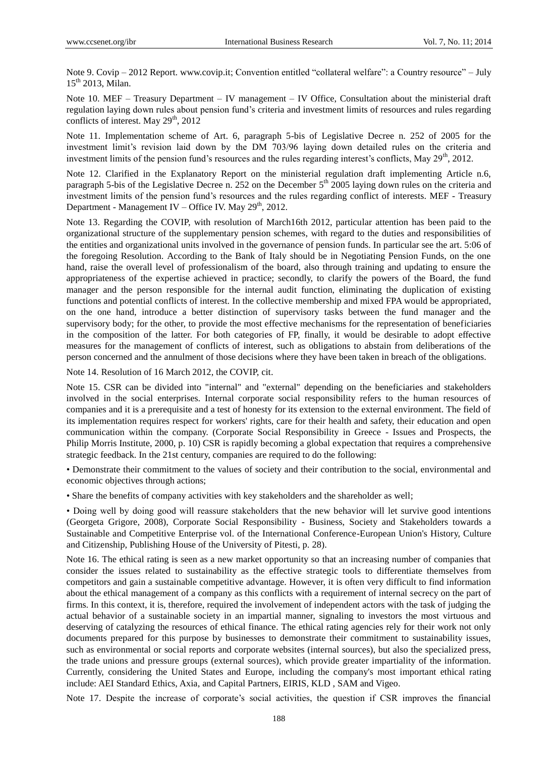Note 9. Covip – 2012 Report. www.covip.it; Convention entitled "collateral welfare": a Country resource" – July  $15^{th}$  2013. Milan.

Note 10. MEF – Treasury Department – IV management – IV Office, Consultation about the ministerial draft regulation laying down rules about pension fund's criteria and investment limits of resources and rules regarding conflicts of interest. May  $29<sup>th</sup>$ , 2012

Note 11. Implementation scheme of Art. 6, paragraph 5-bis of Legislative Decree n. 252 of 2005 for the investment limit's revision laid down by the DM 703/96 laying down detailed rules on the criteria and investment limits of the pension fund's resources and the rules regarding interest's conflicts, May 29<sup>th</sup>, 2012.

Note 12. Clarified in the Explanatory Report on the ministerial regulation draft implementing Article n.6, paragraph 5-bis of the Legislative Decree n. 252 on the December  $5<sup>th</sup>$  2005 laying down rules on the criteria and investment limits of the pension fund's resources and the rules regarding conflict of interests. MEF - Treasury Department - Management IV – Office IV. May  $29<sup>th</sup>$ , 2012.

Note 13. Regarding the COVIP, with resolution of March16th 2012, particular attention has been paid to the organizational structure of the supplementary pension schemes, with regard to the duties and responsibilities of the entities and organizational units involved in the governance of pension funds. In particular see the art. 5:06 of the foregoing Resolution. According to the Bank of Italy should be in Negotiating Pension Funds, on the one hand, raise the overall level of professionalism of the board, also through training and updating to ensure the appropriateness of the expertise achieved in practice; secondly, to clarify the powers of the Board, the fund manager and the person responsible for the internal audit function, eliminating the duplication of existing functions and potential conflicts of interest. In the collective membership and mixed FPA would be appropriated, on the one hand, introduce a better distinction of supervisory tasks between the fund manager and the supervisory body; for the other, to provide the most effective mechanisms for the representation of beneficiaries in the composition of the latter. For both categories of FP, finally, it would be desirable to adopt effective measures for the management of conflicts of interest, such as obligations to abstain from deliberations of the person concerned and the annulment of those decisions where they have been taken in breach of the obligations.

Note 14. Resolution of 16 March 2012, the COVIP, cit.

Note 15. CSR can be divided into "internal" and "external" depending on the beneficiaries and stakeholders involved in the social enterprises. Internal corporate social responsibility refers to the human resources of companies and it is a prerequisite and a test of honesty for its extension to the external environment. The field of its implementation requires respect for workers' rights, care for their health and safety, their education and open communication within the company. (Corporate Social Responsibility in Greece - Issues and Prospects, the Philip Morris Institute, 2000, p. 10) CSR is rapidly becoming a global expectation that requires a comprehensive strategic feedback. In the 21st century, companies are required to do the following:

• Demonstrate their commitment to the values of society and their contribution to the social, environmental and economic objectives through actions;

• Share the benefits of company activities with key stakeholders and the shareholder as well;

• Doing well by doing good will reassure stakeholders that the new behavior will let survive good intentions (Georgeta Grigore, 2008), Corporate Social Responsibility - Business, Society and Stakeholders towards a Sustainable and Competitive Enterprise vol. of the International Conference-European Union's History, Culture and Citizenship, Publishing House of the University of Pitesti, p. 28).

Note 16. The ethical rating is seen as a new market opportunity so that an increasing number of companies that consider the issues related to sustainability as the effective strategic tools to differentiate themselves from competitors and gain a sustainable competitive advantage. However, it is often very difficult to find information about the ethical management of a company as this conflicts with a requirement of internal secrecy on the part of firms. In this context, it is, therefore, required the involvement of independent actors with the task of judging the actual behavior of a sustainable society in an impartial manner, signaling to investors the most virtuous and deserving of catalyzing the resources of ethical finance. The ethical rating agencies rely for their work not only documents prepared for this purpose by businesses to demonstrate their commitment to sustainability issues, such as environmental or social reports and corporate websites (internal sources), but also the specialized press, the trade unions and pressure groups (external sources), which provide greater impartiality of the information. Currently, considering the United States and Europe, including the company's most important ethical rating include: AEI Standard Ethics, Axia, and Capital Partners, EIRIS, KLD , SAM and Vigeo.

Note 17. Despite the increase of corporate's social activities, the question if CSR improves the financial